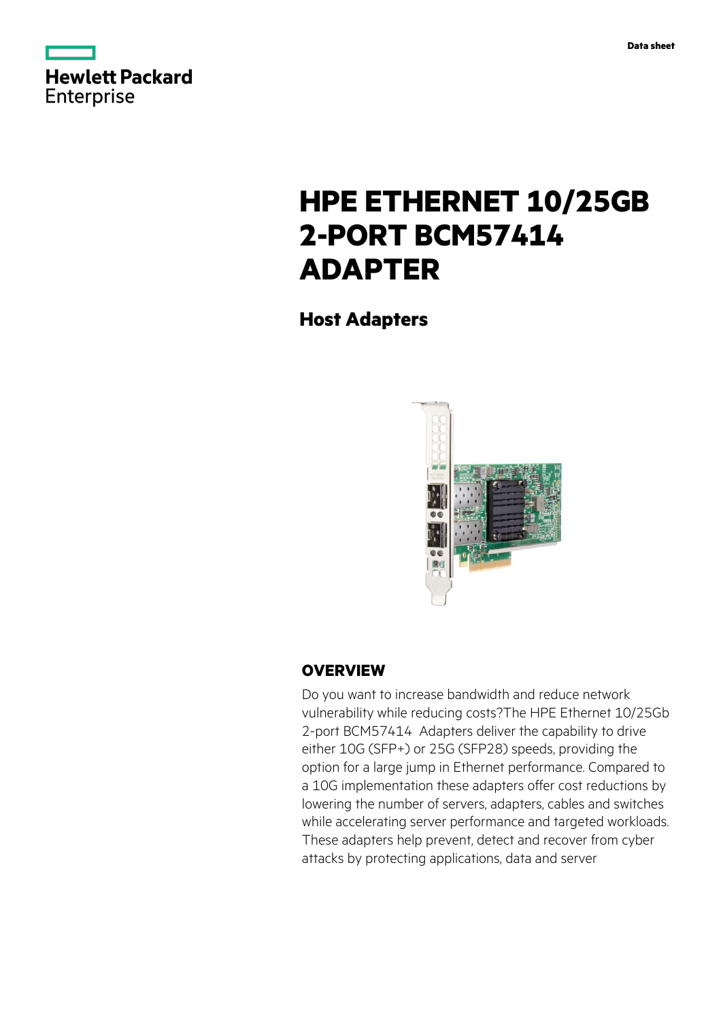

# **HPE ETHERNET 10/25GB 2-PORT BCM57414 ADAPTER**

**Host Adapters**



## **OVERVIEW**

Do you want to increase bandwidth and reduce network vulnerability while reducing costs?The HPE Ethernet 10/25Gb 2-port BCM57414 Adapters deliver the capability to drive either 10G (SFP+) or 25G (SFP28) speeds, providing the option for a large jump in Ethernet performance. Compared to a 10G implementation these adapters offer cost reductions by lowering the number of servers, adapters, cables and switches while accelerating server performance and targeted workloads. These adapters help prevent, detect and recover from cyber attacks by protecting applications, data and server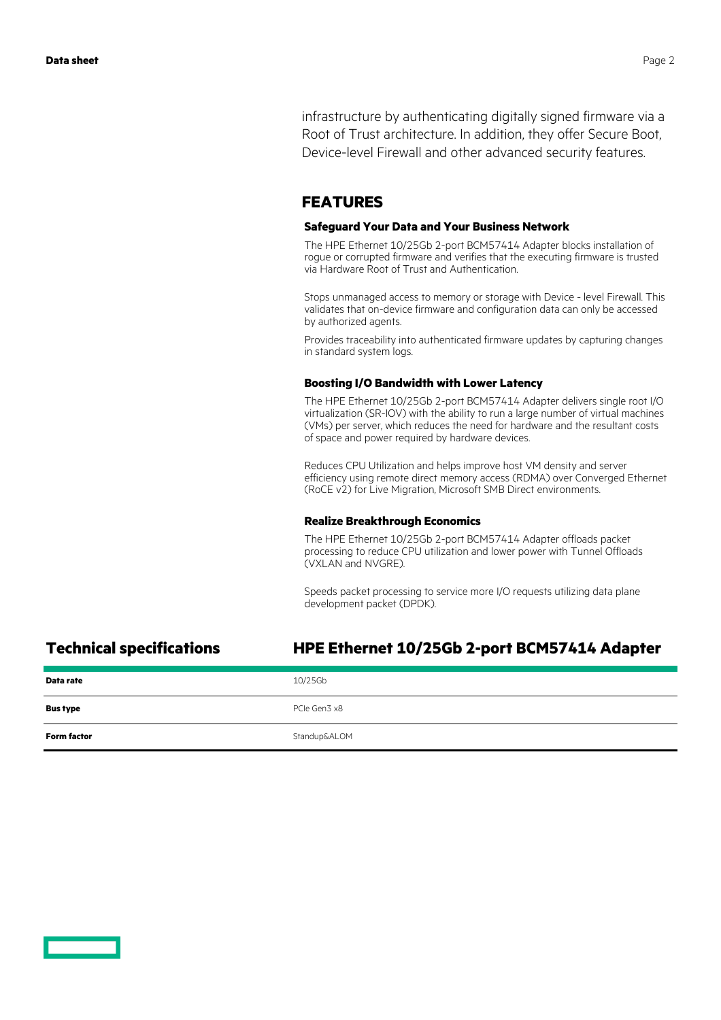infrastructure by authenticating digitally signed firmware via a Root of Trust architecture. In addition, they offer Secure Boot, Device-level Firewall and other advanced security features.

## **FEATURES**

### **Safeguard Your Data and Your Business Network**

The HPE Ethernet 10/25Gb 2-port BCM57414 Adapter blocks installation of rogue or corrupted firmware and verifies that the executing firmware is trusted via Hardware Root of Trust and Authentication.

Stops unmanaged access to memory or storage with Device - level Firewall. This validates that on-device firmware and configuration data can only be accessed by authorized agents.

Provides traceability into authenticated firmware updates by capturing changes in standard system logs.

### **Boosting I/O Bandwidth with Lower Latency**

The HPE Ethernet 10/25Gb 2-port BCM57414 Adapter delivers single root I/O virtualization (SR-IOV) with the ability to run a large number of virtual machines (VMs) per server, which reduces the need for hardware and the resultant costs of space and power required by hardware devices.

Reduces CPU Utilization and helps improve host VM density and server efficiency using remote direct memory access (RDMA) over Converged Ethernet (RoCE v2) for Live Migration, Microsoft SMB Direct environments.

### **Realize Breakthrough Economics**

The HPE Ethernet 10/25Gb 2-port BCM57414 Adapter offloads packet processing to reduce CPU utilization and lower power with Tunnel Offloads (VXLAN and NVGRE).

Speeds packet processing to service more I/O requests utilizing data plane development packet (DPDK).

## **Technical specifications HPE Ethernet 10/25Gb 2-port BCM57414 Adapter**

| Data rate          | 10/25Gb      |
|--------------------|--------------|
| <b>Bus type</b>    | PCIe Gen3 x8 |
| <b>Form factor</b> | Standup&ALOM |